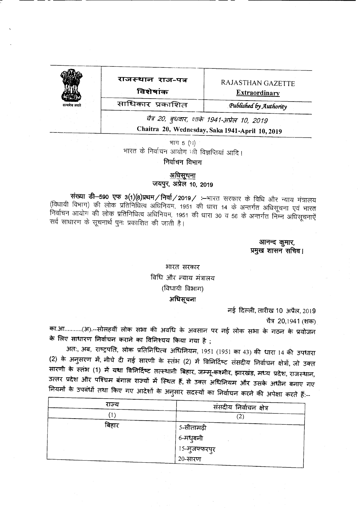### राजस्थान राज-पत्र

-- - - --- --------------

विशेषांक

*.Pu6Cislid Fry fl.utliority*

**Extraordinary** 

Extraordinary<br>
RAJASTHAN GAZETTE<br>
RAJASTHAN GAZETTE<br>
RAJASTHAN GAZETTE<br>
Extraordinary<br>
Extraordinary<br>
Extraordinary<br>
Extraordinary<br>
Extraordinary<br>
Extraordinary<br>
Published by Authority<br>  $\frac{1}{4}$  20. Tevers 178, 1941-2023, *t* 4 *20, बुधवार, शाके 1941-अप्रेल 10, 2019* 

Chaitra 20, Wednesday, Saka 1941-April 10, 2019

भाग 5  $(1)$ भारत के निर्वाचन आयोग<sup>़</sup> की विज्ञप्तियां आदि। निर्वाचन विभाग

अधि<u>सूचना</u>

जयपुर, अप्रेल 10, 2019

संख्या डी-590 एफ 3(1)(8)प्रथम/निर्वा/2019/ :-मारत सरकार के विधि और न्याय मंत्रालय (विधायी विभाग) की लोक प्रतिनिधित्व अधिनियम, 1951 की धारा 14 के अन्तर्गत अधिसूचना एवं भारत .<br>निर्वाचन आयोग की लोक प्रतिनिधित्व अधिनियम, 1951 की धारा 30 व 56 के अन्तर्गत निम्न अधिसूचनाऐं सर्व साधारण के सूचनार्थ पुनः प्रकाशित की जाती है।

> आनन्द कुमार, प्रमुख शासन सचिव।

भारत सरकार विधि और *न्याय मंत्रालय* (विधायी विभाग) अधिसूचना

नई दिल्ली, तारीख 10 अप्रैल, 2019

चैत्र 20,1941 (शक)

का.आ..........(अ).--सोलहवीं लोक सभा की अवधि के अवसान पर नई लोक सभा के गठन के प्रयोजन के लिए साधारण निर्वाचन कराने का विनिश्चय किया गया है ;

3ात:, अब, राष्ट्रपति, लोक प्रतिनिधित्व अधिनियम, 1951 (1951 का 43) की धारा 14 की उपधारा (2) के अनुसरण में, नीचे दी गई सारणी के स्तंभ (2) में विनिर्दिष्ट संसदीय निर्वाचन क्षेत्रों, जो उक्त सारणी के स्तंभ (1) में यथा विनिर्दिष्ट तत्स्थानी बिहार, जम्मू-कश्मीर, झारखंड, मध्य प्रदेश, राजस्थान, 3त्तर प्रदेश और पश्चिम बंगाल राज्यों में स्थित हैं, से उक्त अधिनियम और उसके अधीन बनाए गए नियमों के उपबंधों तथा किए गए आदेशों के अनुसार सदस्यों का निर्वाचन करने की अपेक्षा करते हैं:--

| राज्य | संसदीय निर्वाचन क्षेत्र |
|-------|-------------------------|
|       | ∠                       |
| बिहार |                         |
|       | 5-सीतामढ़ी<br>6-मधुबनी  |
|       | 15-मुजफ्फरपुर           |
|       | 20-सारण                 |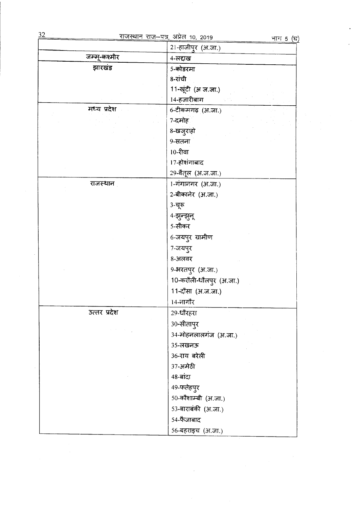| जन्मू-कश्मीर | 4-लद्दाख                |
|--------------|-------------------------|
| झारखंड       | 5-कोडरमा                |
|              | 8-रांची                 |
|              | 11-खूंटी (अ.ज.जा.)      |
|              | 14-हजारीबाग             |
| मध्य प्रदेश  | 6-टीकमगढ़ (अ.जा.)       |
|              | 7-दमोह                  |
|              | 8-खजुराहो               |
|              | 9-सतना                  |
|              | 10-रीवा                 |
|              | 17-होशंगाबाद            |
|              | 29-बैतूल (अ.ज.जा.)      |
| राजस्थान     | 1-गंगानगर (अ.जा.)       |
|              | 2-बीकानेर (अ.जा.)       |
|              | 3-चूरू                  |
|              | 4-झुन्झुन्              |
|              | 5-सीकर                  |
|              | 6-जयपुर ग्रामीण         |
|              | 7-जयपुर                 |
|              | 8-अलवर                  |
|              | 9-भरतपुर (अ.जा.)        |
|              | 10-करौली-धौलपुर (अ.जा.) |
|              | 11-दौसा (अ.ज.जा.)       |
|              | 14-नांगौर               |
| उत्तर प्रदेश | 29-धौरहरा               |
|              | $30 -$ सीतापुर          |
|              | 34-मोहनलालगंज (अ.जा.)   |
|              | 35-लखनऊ                 |
|              | 36-राय बरेली            |
|              | 37-अमेटी                |
|              | 48-बांदा                |
|              | 49-फतेहपुर              |
|              | 50-कौशाम्बी (अ.जा.)     |
|              | 53-बाराबंकी (अ.जा.)     |
|              | 54-फैजाबाद              |
|              | 56-बहराइच (अ.जा.)       |
|              |                         |
|              |                         |

 $\langle \cdot \rangle$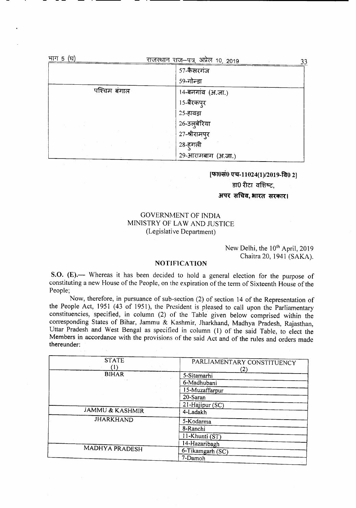| भाग 5 (घ) |              | <u>राजस्थान राज</u> –पत्र, अप्रेल 10, 2019 | 33 |
|-----------|--------------|--------------------------------------------|----|
|           |              | 57-कैसरगंज                                 |    |
|           |              | 59-गोन्डा                                  |    |
|           | पश्चिम बंगाल | 14-बनगांव (अ.जा.)                          |    |
|           |              | 15-बैरकपुर                                 |    |
|           |              | 25-हावड़ा                                  |    |
|           |              | 26-उल्बेरिया                               |    |
|           |              | 27-श्रीरामपुर                              |    |
|           |              | 28-हुगली                                   |    |
|           |              | 29-आरामबाग (अ.जा.)                         |    |

### [फा0सं0 एच-11024(1)/2019-वि0 2] डा0 रीटा वशिष्ट.

### अपर सचिव, भारत सरकार।

### GOVERNMENT OF INDIA MINISTRY OF LAW AND JUSTICE (Legislative Department)

### New Delhi, the 10<sup>th</sup> April, 2019 Chaitra 20, 1941 (SAKA).

#### NOTIFICATION

S.O. (E).— Whereas it has been decided to hold a general election for the purpose of constituting a new House of the People, on the expiration of the term of Sixteenth House of the People;

Now, therefore, in pursuance of sub-section (2) of section 14 of the Representation of the People Act, 1951 (43 of 1951), the President is pleased to call upon the Parliamentary constituencies, specified, in column (2) of the Table given below comprised within the corresponding States of Bihar, Jammu & Kashmir, Jharkhand, Madhya Pradesh, Rajasthan, Uttar Pradesh and West Bengal as specified in column (1) of the said Table, to elect the Members in accordance with the provisions of the said Act and of the rules and orders made thereunder:

| <b>STATE</b>               | PARLIAMENTARY CONSTITUENCY |
|----------------------------|----------------------------|
|                            | (2)                        |
| <b>BIHAR</b>               | 5-Sitamarhi                |
|                            | 6-Madhubani                |
|                            | 15-Muzaffarpur             |
|                            | 20-Saran                   |
|                            | 21-Hajipur (SC)            |
| <b>JAMMU &amp; KASHMIR</b> | 4-Ladakh                   |
| <b>JHARKHAND</b>           | 5-Kodarma                  |
|                            | 8-Ranchi                   |
|                            | 11-Khunti (ST)             |
|                            | 14-Hazaribagh              |
| <b>MADHYA PRADESH</b>      | 6-Tikamgarh (SC)           |
|                            | 7-Damoh                    |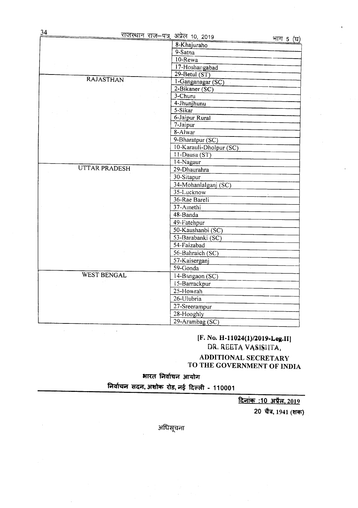| 34                   | <u>राजस्थान राज-पत्र,</u> अप्रेल 10, 2019 | भाग 5 (घ) |
|----------------------|-------------------------------------------|-----------|
|                      | 8-Khajuraho                               |           |
|                      | $9 - \frac{1}{3}$                         |           |
|                      | $10$ -Rewa                                |           |
|                      | 17-Hoshangabad                            |           |
|                      | $29$ -Betul (ST)                          |           |
| <b>RAJASTHAN</b>     | 1-Ganganagar (SC)                         |           |
|                      | 2-Bikaner (SC)                            |           |
|                      | $3 - Churu$                               |           |
|                      | 4-Jhunjhunu                               |           |
|                      | $5-Sikar$                                 |           |
|                      | 6-Jaipur Rural                            |           |
|                      | 7-Jaipur                                  |           |
|                      | $8 -$ Alwar                               |           |
|                      | 9-Bharatpur (SC)                          |           |
|                      | 10-Karauli-Dholpur (SC)                   |           |
|                      | $11$ -Dausa (ST)                          |           |
|                      | 14-Nagaur                                 |           |
| <b>UTTAR PRADESH</b> | 29-Dhaurahra                              |           |
|                      | 30-Sitapur                                |           |
|                      | 34-Mohanlalganj (SC)                      |           |
|                      | 35-Lucknow                                |           |
|                      | 36-Rae Bareli                             |           |
|                      | 37-Amethi                                 |           |
|                      | 48-Banda                                  |           |
|                      | 49-Fatehpur                               |           |
|                      | 50-Kaushanbi (SC)                         |           |
|                      | 53-Barabanki (SC)                         |           |
|                      | 54-Faizabad                               |           |
|                      | 56-Bahraich (SC)                          |           |
|                      | 57-Kaiserganj                             |           |
|                      | $59 -$ Gonda                              |           |
| <b>WEST BENGAL</b>   | 14-Bangaon $(SC)$                         |           |
|                      | 15-Barrackpur                             |           |
|                      | 25-Howrah                                 |           |
|                      | 26-Ulubria                                |           |
|                      | 27-Sreerampur                             |           |
|                      | 28-Hooghly                                |           |
|                      | 29-Arambag (SC)                           |           |
|                      |                                           |           |

### **[F. No.** H-1l024(1)/2019~Lea.1I1 DR. REETA VASISIITA, **ADDITIONAL SECRETARY TO THE GOVERNMENT OF INDIA**

 $\frac{1}{2}$  **भारत** निर्वाचन आयोग

f.l~:qii1 **~,3f1JTcn m,~ ~ - <sup>110001</sup>**

**<u>दिनांक:10 अप्रैल, 2019</u>** 

20 चैत्र, 1941 (शक)

अधिसूचना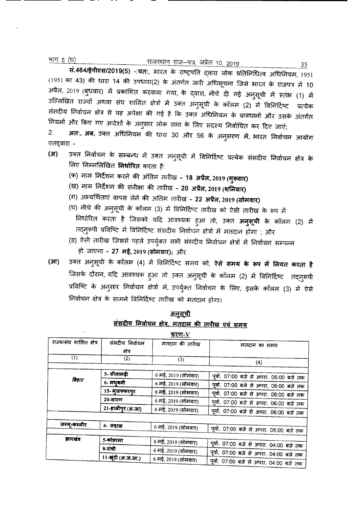भाग 5 (घ)

### <u>राजस्थान राज—पत्र,</u> अप्रेल 10, 2019

सं.464/ईपीएस/2019(5) ∹यतः, भारत के राष्ट्रपति द्वारा लोक प्रतिनिधित्व अधिनियम, 1951 (1951 का 43) की धारा 14 की उपधारा(2) के अंतर्गत जारी अधिसूचना जिसे भारत के राजपत्र में 10 अप्रैल, 2019 (बुधवार) में प्रकाशित करवाया गया, के द्वारा, नीचे दी गई अनुसूची में स्तंभ (1) में उल्लिखित राज्यों अथवा संघ शासित क्षेत्रों में उक्त अनुसूची के कॉलम (2) में विनिर्दिष्ट प्रत्येक संसदीय निर्वाचन क्षेत्र से यह अपेक्षा की गई है कि उक्त अधिनियम के प्रावधानों और उसके अंतर्गत नियमों और किए गए आदेशों के अनुसार लोक सभा के लिए सदस्य निर्वाचित कर दिए जाएं;

अत:, अब, उक्त अधिनियम की धारा 30 और 56 के अनुसरण में, भारत निर्वाचन आयोग  $2.$ एतद्दवारा -

- उक्त निर्वाचन के सम्बन्ध में उक्त अनुसूची में विनिर्दिष्ट प्रत्येक संसदीय निर्वाचन क्षेत्र के  $(3f)$ लिए निम्नलिखित **निर्धारित** करता है:
	- (क) नाम निर्देशन करने की अंतिम तारीख 18 अप्रैल, 2019 (गुरूवार)
	- (ख) नाम निर्देशन की संवीक्षा की तारीख 20 अप्रैल, 2019 (शनिवार)
	- (ग) अभ्यर्थिताएं वापस लेने की अंतिम तारीख 22 अप्रैल, 2019 (सोमवार)
	- (घ) नीचे की अनुसूची के कॉलम (3) में विनिर्दिष्ट तारीख को ऐसी तारीख के रूप में निर्धारित करता है जिसको यदि आवश्यक हुआ तो, उक्त **अनुसूची** के कॉलम (2) में तद्नुरूपी प्रविष्टि में विनिर्दिष्ट संसदीय निर्वाचन क्षेत्रों में मतदान होगा ; और
	- (ङ) ऐसी तारीख जिससे पहले उपर्युक्त सभी संसदीय निर्वाचन क्षेत्रों में निर्वाचन सम्पन्न हो जाएगा - 27 मई, 2019 (सोमवार); और
- उक्त अनुसूची के कॉलम (4) में विनिर्दिष्ट समय को, **ऐसे समय के रूप में नियत करता है**  $(3\pi)$ जिसके दौरान, यदि आवश्यक हुआ तो उक्त अनुसूची के कॉलम (2) में विनिर्दिष्ट तद्नुरूपी प्रविष्टि के अनुसार निर्वाचन क्षेत्रों में, उपर्युक्त निर्वाचन के लिए, इसके कॉलम (3) में ऐसे निर्वाचन क्षेत्र के सामने विनिर्दिष्ट तारीख को मतदान होगा।

|                         |                    | <u>जज्जन लियायल कान, भरादान का ताराख</u> एवं समय |                                         |
|-------------------------|--------------------|--------------------------------------------------|-----------------------------------------|
|                         |                    | <u>चरण-V</u>                                     |                                         |
| राज्य/संघ शासित क्षेत्र | संसदीय निर्वाचन    | मतदान की तारीख                                   | मतदान का समय                            |
| (1)                     | क्षेत्र<br>(2)     | (3)                                              |                                         |
|                         |                    |                                                  | (4)                                     |
|                         | 5- सीतामढी         | 6 मई, 2019 (सोमवार)                              | पूर्वा. 07:00 बजे से अपरा. 06:00 बजे तक |
| विहार                   | 6- मधुबनी          | 6 मई, 2019 (सोमवार)                              | पूर्वा. 07:00 बजे से अपरा. 06:00 बजे तक |
|                         | 15- मुजफ्फरपुर     | 6 मई, 2019 (सोमवार)                              | पूर्वा. 07:00 बजे से अपरा. 06:00 बजे तक |
|                         | 20-सारण            | 6 मई, 2019 (सोमवार)                              | पूर्वा. 07:00 बजे से अपरा. 06:00 बजे तक |
|                         | 21-हाजीपूर (अ.जा)  | 6 मई, 2019 (सोमवार)                              | पूर्वा. 07:00 बजे से अपरा. 06:00 बजे तक |
|                         |                    |                                                  |                                         |
| जम्मू-कश्मीर            | 4- लद्दाख          | 6 मई, 2019 (सोमवार)                              | पूर्वा. 07:00 बजे से अपरा. 06:00 बजे तक |
| झारखंड                  | 5-कोडरमा           |                                                  |                                         |
|                         |                    | 6 मई, 2019 (सोमवार)                              | पूर्वा. 07:00 बजे से अपरा. 04:00 बजे तक |
|                         | 8-रांची            | 6 मई, 2019 (सोमवार)                              | पूर्वा. 07:00 बजे से अपरा. 04:00 बजे तक |
|                         | 11-खूंटी (अ.ज.जा.) | 6 मई, 2019 (सोमवार)                              | पूर्वा. 07:00 बजे से अपरा. 04:00 बजे तक |

<u>अनसूची</u> ਸੰਸਟੀਰ ਜਿਗੰਗਤ ਖੇਡ, ਸਤਰਾਤ ਵੀ ਤਾਮੀ 35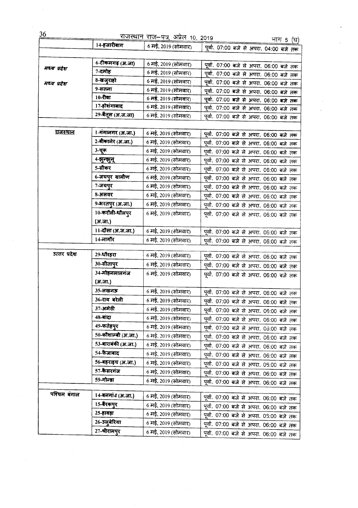| 36              |                     | <u>राजस्थान राज</u> –पत्र, अप्रेल 10, 2019 |                                         | <u>भाग 5 (घ)</u> |
|-----------------|---------------------|--------------------------------------------|-----------------------------------------|------------------|
|                 | 14-हजारीबाग         | 6 मई, 2019 (सोमवार) -                      | पूर्वा. 07:00 बजे से अपरा. 04:00 बजे तक |                  |
|                 |                     |                                            |                                         |                  |
|                 | 6-टीकमगढ़ (अ.जा)    | 6 मई, 2019 (सोमवार)                        | पूर्वा. 07:00 बजे से अपरा. 06:00 बजे तक |                  |
| मध्य प्रदेश     | 7-दमोह              | 6 मई, 2019 (सोमवार)                        | पूर्वा. 07:00 बजे से अपरा. 06:00 बजे तक |                  |
|                 | 8-खजुराहो           | 6 मई, 2019 (सोमवार)                        | पूर्वा. 07:00 बजे से अपरा. 06:00 बजे तक |                  |
| मध्य प्रदेश     | 9-सतना              | 6 मई, 2019 (सोमवार)                        | पूर्वा. 07:00 बजे से अपरा. 06:00 बजे तक |                  |
|                 | 10-रीवा             | 6 मई, 2019 (सोमवार)                        | पूर्वा. 07:00 बजे से अपरा. 06:00 बजे तक |                  |
|                 | 17-होशंगाबाद        | 6 मई, 2019 (सोमवार)                        | पूर्वा. 07:00 बजे से अपरा. 06:00 बजे तक |                  |
|                 | 29-बैतूल (अ.ज.जा)   | 6 मई, 2019 (सोमवार)                        | पूर्वा. 07:00 बजे से अपरा. 06:00 बजे तक |                  |
|                 |                     |                                            |                                         |                  |
| <u>राजस्थान</u> | 1-गंगानगर (अ.जा.)   | 6 मई, 2019 (सोमवार)                        |                                         |                  |
|                 | 2-बीकानेर (अ.जा.)   | 6 मई, 2019 (सोमवार)                        | पूर्वा. 07:00 बजे से अपरा. 06:00 बजे तक |                  |
|                 |                     |                                            | पूर्वा. 07:00 बजे से अपरा. 06:00 बजे तक |                  |
|                 | 3-चूरू              | 6 मई, 2019 (सोमवार)                        | पूर्वा. 07:00 बजे से अपरा. 06:00 बजे तक |                  |
|                 | 4-झुन्झुन्          | 6 मई, 2019 (सोमवार)                        | पूर्वा. 07:00 बजे से अपरा. 06:00 बजे तक |                  |
|                 | 5-सीकर              | 6 मई, 2019 (सोमवार)                        | पूर्वा. 07:00 बजे से अपरा. 06:00 बजे तक |                  |
|                 | 6-जयपुर ग्रामीण     | 6 मई, 2019 (सोमवार)                        | पूर्वा. 07:00 बजे से अपरा. 06:00 बजे तक |                  |
|                 | 7-जयपुर             | 6 मई, 2019 (सोमवार)                        | पूर्वा. 07:00 बजे से अपरा. 06:00 बजे तक |                  |
|                 | 8-अलवर              | 6 मई, 2019 (सोमवार)                        | पूर्वा. 07:00 बजे से अपरा. 06:00 बजे तक |                  |
|                 | 9-भरतपुर (अ.जा.)    | 6 मई, 2019 (सोमवार)                        | पूर्वा. 07:00 बजे से अपरा. 06:00 बजे तक |                  |
|                 | 10-करौली-धौलपुर     | 6 मई, 2019 (सोमवार)                        | पूर्वा. 07:00 बजे से अपरा. 06:00 बजे तक |                  |
|                 | (अ.जा.)             |                                            |                                         |                  |
|                 | 11-दौसा (अ.ज.जा.)   | 6 मई, 2019 (सोमवार)                        | पूर्वा. 07:00 बजे से अपरा. 06:00 बजे तक |                  |
|                 | 14-नागौर            | 6 मई, 2019 (सोमवार)                        | पूर्वा. 07:00 बजे से अपरा. 06:00 बजे तक |                  |
|                 |                     |                                            |                                         |                  |
| उत्तर प्रदेश    | 29-धौरहरा           | 6 मई, 2019 (सोमवार)                        | पूर्वा. 07:00 बजे से अपरा. 06:00 बजे तक |                  |
|                 | 30-सीतापुर          | 6 मई, 2019 (सोमवार)                        | पूर्वा. 07:00 बजे से अपरा. 06:00 बजे तक |                  |
|                 | 34-मोहनलालगंज       | 6 मई, 2019 (सोमवार)                        | पूर्वा. 07:00 बजे से अपरा. 06:00 बजे तक |                  |
|                 | (अ.जा.)             |                                            |                                         |                  |
|                 | 35-लखनऊ             | 6 मई, 2019 (सोमवार)                        | पूर्वा. 07:00 बजे से अपरा. 06:00 बजे तक |                  |
|                 | 36-राय बरेली        | 6 मई, 2019 (सोमवार)                        | पूर्वा. 07:00 बजे से अपरा. 06:00 बजे तक |                  |
|                 | 37-अमेठी            | 6 मई, 2019 (सोमवार)                        | पूर्वा. 07:00 बजे से अपरा. 06:00 बजे तक |                  |
|                 | 48-बांदा            | 6 मई, 2019 (सोमवार)                        | पूर्वा. 07:00 बजे से अपरा. 06:00 बजे तक |                  |
|                 | 49-फतेहपुर          | 6 मई, 2019 (सोमवार)                        | पूर्वा. 07:00 बजे से अपरा. 06:00 बजे तक |                  |
|                 | 50-कौशाम्बी (अ.जा.) | 6 मई, 2019 (सोमवार)                        | पूर्वा. 07:00 बजे से अपरा. 06:00 बजे तक |                  |
|                 | 53-बाराबंकी (अ.जा.) | 6 मई, 2019 (सोमवार)                        | पूर्वा. 07:00 बजे से अपरा. 06:00 बजे तक |                  |
|                 | 54-फैजाबाद          | 6 मई, 2019 (सोमवार)                        | पूर्वा. 07:00 बजे से अपरा. 06:00 बजे तक |                  |
|                 | 56-बहराइच (अ.जा.)   | 6 मई, 2019 (सोमवार)                        | पूर्वा. 07:00 बजे से अपरा. 05:00 बजे तक |                  |
|                 | 57-कैसरगंज          | 6 मई, 2019 (सोमवार)                        | पूर्वा. 07:00 बजे से अपरा. 06:00 बजे तक |                  |
|                 | 59-गोन्डा           | 6 मई, 2019 (सोमवार)                        |                                         |                  |
|                 |                     |                                            | पूर्वा. 07:00 बजे से अपरा. 06:00 बजे तक |                  |
| पश्चिम बंगाल    | 14-बनगांउ (अ.जा.)   | 6 मई, 2019 (सोमवार)                        | पूर्वा. 07:00 बजे से अपरा. 06:00 बजे तक |                  |
|                 | 15-बैरकपुर          | 6 मई, 2019 (सोमवार)                        | पूर्वा. 07:00 बजे से अपरा. 06:00 बजे तक |                  |
|                 | 25-हावड़ा           | 6 मई, 2019 (सोमवार)                        | पूर्वा. 07:00 बजे से अपरा. 05:00 बजे तक |                  |
|                 | 26-उलुबेरिया        | 6 मई, 2019 (सोमवार)                        | पूर्वा. 07:00 बजे से अपरा. 06:00 बजे तक |                  |
|                 | 27-श्रीरामपुर       | 6 मई, 2019 (सोमवार)                        |                                         |                  |
|                 |                     |                                            | पूर्वा. 07:00 बजे से अपरा. 06:00 बजे तक |                  |

 $\hat{\boldsymbol{\beta}}$  $\ddot{\phantom{0}}$ 

 $\hat{\mathcal{A}}$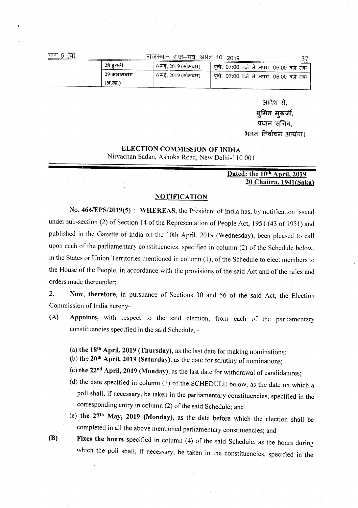| г<br>ਸ<br>I |  |
|-------------|--|
|-------------|--|

#### राजस्थान राज-पत्र अप्रेल 10 2019

| 28-हगली    | , 6 मई, 2019 (सोमवार) | <sub>ा</sub> पूर्वा. 07:00 बजे से अपरा. 06:00 बजे तक ' |  |
|------------|-----------------------|--------------------------------------------------------|--|
| 29-आरामबाग | 6 मई. 2019 (सोमवार)   | । पूर्वा. 07:00 बजे से अपरा. 06:00 बजे तक '            |  |
| (अ.जा.)    |                       |                                                        |  |

आदेश से.

 $27$ 

सुमित मुखर्जी,

प्रधान सचिव.

भारत निर्वाचन आयोग।

### ELECTION COMMISSION OF INDIA

Nirvachan Sadan, Ashoka Road, New Delhi-ll0 001

#### Dated: the 10<sup>th</sup> April, 2019 20 Chaitra, 1941(Saka)

#### NOTIFICATION

No. *464IEPS/2019(5) :-* WHEREAS, the President of India has, by notification issued under sub-section (2) of Section 14 of the Representation of People Act, 1951 (43 of 1951) and published in the Gazette of India on the 10th April, 2019 (Wednesday), been pleased to call upon each of the parliamentary constituencies, specified in column (2) of the Schedule below, in the States or Union Territories mentioned in column (1), of the Schedule to elect members to the House of the People, in accordance with the provisions of the said Act and of the rules and orders made thereunder;

2. Now, therefore, in pursuance of Sections 30 and 56 of the said Act, the Election Commission of India hereby-

- (A) Appoints, with respect to the said election, from each of the parliamentary constituencies specified in the said Schedule, -
	- (a) the 18<sup>th</sup> April, 2019 (Thursday), as the last date for making nominations;
	- (b) the  $20$ <sup>th</sup> April, 2019 (Saturday), as the date for scrutiny of nominations;
	- (c) the 22nd April, 2019 (Monday), as the last date for withdrawal of candidatures;
	- (d) the date specified in column (3) of the SCHEDULE below, as the date on which a poll shall, if necessary, be taken in the parliamentary constituencies, specified in the corresponding entry in column (2) of the said Schedule; and
	- (e) the 27th May, 2019 (Monday), as the date before which the election shall be completed in all the above mentioned parliamentary constituencies; and
- (B) Fixes the hours specified in column (4) of the said Schedule, as the hours during which the poll shall, if necessary, be taken in the constituencies, specified in the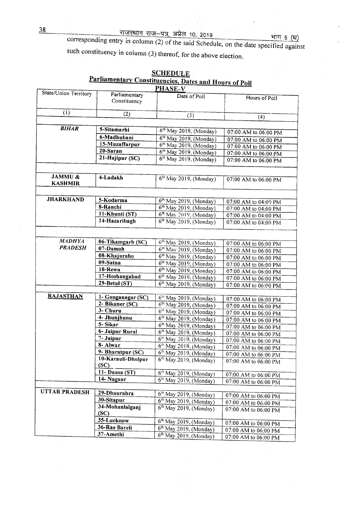#### 38 ~ "®l-tf3r, ~. 10,2019 . . '+fI1T 5~

corresponding entry in column  $(2)$  of the said Schedule, on the date specified against such constituency in column (3) thereof, for the above election.

| State/Union Territory<br>Parliamentary<br>Date of Poll<br>Hours of Poll<br>Constituency<br>(1)<br>(2)<br>(3)<br>(4)<br><b>BIHAR</b><br>5-Sitamarhi<br>6th May 2019, (Monday)<br>07:00 AM to 06:00 PM<br>6-Madhubani<br>$6th$ May 2019, (Monday)<br>07:00 AM to 06:00 PM<br>15-Muzaffarpur<br>6 <sup>th</sup> May 2019, (Monday)<br>07:00 AM to 06:00 PM<br>$20-Saran$<br>6 <sup>th</sup> May 2019, (Monday)<br>07:00 AM to 06:00 PM<br>21-Hajipur (SC)<br>6 <sup>th</sup> May 2019, (Monday)<br>07:00 AM to 06:00 PM<br>JAMMU &<br>4-Ladakh<br>$6th$ May 2019, (Monday)<br>07:00 AM to 06:00 PM<br><b>KASHMIR</b><br><b>JHARKHAND</b><br>5-Kodarma<br>$6th$ May 2019, (Monday)<br>07:00 AM to 04:00 PM<br>8-Ranchi<br>6 <sup>th</sup> May 2019, (Monday)<br>07:00 AM to 04:00 PM<br>11-Khunti (ST)<br>$6th$ May 2019, (Monday)<br>07:00 AM to 04:00 PM<br>14-Hazaribagh<br>6 <sup>th</sup> May 2019, (Monday)<br>07:00 AM to 04:00 PM<br><b>MADHYA</b><br>06-Tikamgarh (SC)<br>$6th$ May 2019, (Monday)<br>07:00 AM to 06:00 PM<br><b>PRADESH</b><br>07-Damoh<br>$6th$ May 2019, (Monday)<br>07:00 AM to 06:00 PM<br>08-Khajuraho<br>$6th$ May 2019, (Monday)<br>07:00 AM to 06:00 PM<br>09-Satna<br>6 <sup>th</sup> May 2019, (Monday)<br>07:00 AM to 06:00 PM<br>10-Rewa<br>$6th$ May 2019, (Monday)<br>07:00 AM to 06:00 PM<br>17-Hoshangabad<br>$6th$ May 2019, (Monday)<br>07:00 AM to 06:00 PM<br>29-Betul (ST)<br>$6th$ May 2019, (Monday)<br>07:00 AM to 06:00 PM<br><b>RAJASTHAN</b><br>1- Ganganagar (SC)<br>6 <sup>th</sup> May 2019, (Monday)<br>07:00 AM to 06:00 PM<br>2- Bikaner (SC)<br>$6th$ May 2019, (Monday)<br>07:00 AM to 06:00 PM<br>3- Churu<br>$6th$ May 2019, (Monday)<br>07:00 AM to 06:00 PM<br>4- Jhunjhunu<br>$6th$ May 2019, (Monday)<br>07:00 AM to 06:00 PM<br>5-Sikar<br>6 <sup>th</sup> May 2019, (Monday)<br>07:00 AM to 06:00 PM<br>6- Jaipur Rural<br>$6th$ May 2019, (Monday)<br>07:00 AM to 06:00 PM<br>7- Jaipur<br>$6th$ May 2019, (Monday)<br>$07:00$ AM to 06:00 PM<br>8- Alwar<br>$6th$ May 2019, (Monday)<br>07:00 AM to 06:00 PM<br>9- Bharatpur (SC)<br>6th May 2019, (Monday)<br>07:00 AM to 06:00 PM<br>10-Karauli-Dholpur<br>$6th$ May 2019, (Monday)<br>07:00 AM to 06:00 PM<br>(SC)<br>11- Dausa (ST)<br>6 <sup>th</sup> May 2019, (Monday)<br>07:00 AM to 06:00 PM<br>14- Nagaur<br>$6th$ May 2019, (Monday)<br>07:00 AM to 06:00 PM<br><b>UTTAR PRADESH</b><br>29-Dhaurahra<br>$6th$ May 2019, (Monday)<br>07:00 AM to 06:00 PM<br>30-Sitapur<br>$6th$ May 2019, (Monday)<br>07:00 AM to 06:00 PM<br>34-Mohanlalganj<br>6 <sup>th</sup> May 2019, (Monday)<br>07:00 AM to 06:00 PM<br>SC)<br>35-Lucknow<br>6 <sup>th</sup> May 2019, (Monday)<br>07:00 AM to 06:00 PM<br>36-Rae Bareli<br>$6th$ May 2019, (Monday)<br>07:00 AM to 06:00 PM<br>37-Amethi | <u><i><u><b>Alexandentary Constituencies, Dates and Hours of Poll</b></u></i></u><br><b>PHASE-V</b> |  |                          |                      |  |
|----------------------------------------------------------------------------------------------------------------------------------------------------------------------------------------------------------------------------------------------------------------------------------------------------------------------------------------------------------------------------------------------------------------------------------------------------------------------------------------------------------------------------------------------------------------------------------------------------------------------------------------------------------------------------------------------------------------------------------------------------------------------------------------------------------------------------------------------------------------------------------------------------------------------------------------------------------------------------------------------------------------------------------------------------------------------------------------------------------------------------------------------------------------------------------------------------------------------------------------------------------------------------------------------------------------------------------------------------------------------------------------------------------------------------------------------------------------------------------------------------------------------------------------------------------------------------------------------------------------------------------------------------------------------------------------------------------------------------------------------------------------------------------------------------------------------------------------------------------------------------------------------------------------------------------------------------------------------------------------------------------------------------------------------------------------------------------------------------------------------------------------------------------------------------------------------------------------------------------------------------------------------------------------------------------------------------------------------------------------------------------------------------------------------------------------------------------------------------------------------------------------------------------------------------------------------------------------------------------------------------------------------------------------------------------------------------------------------------------------------------------------------------------------------------------------|-----------------------------------------------------------------------------------------------------|--|--------------------------|----------------------|--|
|                                                                                                                                                                                                                                                                                                                                                                                                                                                                                                                                                                                                                                                                                                                                                                                                                                                                                                                                                                                                                                                                                                                                                                                                                                                                                                                                                                                                                                                                                                                                                                                                                                                                                                                                                                                                                                                                                                                                                                                                                                                                                                                                                                                                                                                                                                                                                                                                                                                                                                                                                                                                                                                                                                                                                                                                                |                                                                                                     |  |                          |                      |  |
|                                                                                                                                                                                                                                                                                                                                                                                                                                                                                                                                                                                                                                                                                                                                                                                                                                                                                                                                                                                                                                                                                                                                                                                                                                                                                                                                                                                                                                                                                                                                                                                                                                                                                                                                                                                                                                                                                                                                                                                                                                                                                                                                                                                                                                                                                                                                                                                                                                                                                                                                                                                                                                                                                                                                                                                                                |                                                                                                     |  |                          |                      |  |
|                                                                                                                                                                                                                                                                                                                                                                                                                                                                                                                                                                                                                                                                                                                                                                                                                                                                                                                                                                                                                                                                                                                                                                                                                                                                                                                                                                                                                                                                                                                                                                                                                                                                                                                                                                                                                                                                                                                                                                                                                                                                                                                                                                                                                                                                                                                                                                                                                                                                                                                                                                                                                                                                                                                                                                                                                |                                                                                                     |  |                          |                      |  |
|                                                                                                                                                                                                                                                                                                                                                                                                                                                                                                                                                                                                                                                                                                                                                                                                                                                                                                                                                                                                                                                                                                                                                                                                                                                                                                                                                                                                                                                                                                                                                                                                                                                                                                                                                                                                                                                                                                                                                                                                                                                                                                                                                                                                                                                                                                                                                                                                                                                                                                                                                                                                                                                                                                                                                                                                                |                                                                                                     |  |                          |                      |  |
|                                                                                                                                                                                                                                                                                                                                                                                                                                                                                                                                                                                                                                                                                                                                                                                                                                                                                                                                                                                                                                                                                                                                                                                                                                                                                                                                                                                                                                                                                                                                                                                                                                                                                                                                                                                                                                                                                                                                                                                                                                                                                                                                                                                                                                                                                                                                                                                                                                                                                                                                                                                                                                                                                                                                                                                                                |                                                                                                     |  |                          |                      |  |
|                                                                                                                                                                                                                                                                                                                                                                                                                                                                                                                                                                                                                                                                                                                                                                                                                                                                                                                                                                                                                                                                                                                                                                                                                                                                                                                                                                                                                                                                                                                                                                                                                                                                                                                                                                                                                                                                                                                                                                                                                                                                                                                                                                                                                                                                                                                                                                                                                                                                                                                                                                                                                                                                                                                                                                                                                |                                                                                                     |  |                          |                      |  |
|                                                                                                                                                                                                                                                                                                                                                                                                                                                                                                                                                                                                                                                                                                                                                                                                                                                                                                                                                                                                                                                                                                                                                                                                                                                                                                                                                                                                                                                                                                                                                                                                                                                                                                                                                                                                                                                                                                                                                                                                                                                                                                                                                                                                                                                                                                                                                                                                                                                                                                                                                                                                                                                                                                                                                                                                                |                                                                                                     |  |                          |                      |  |
|                                                                                                                                                                                                                                                                                                                                                                                                                                                                                                                                                                                                                                                                                                                                                                                                                                                                                                                                                                                                                                                                                                                                                                                                                                                                                                                                                                                                                                                                                                                                                                                                                                                                                                                                                                                                                                                                                                                                                                                                                                                                                                                                                                                                                                                                                                                                                                                                                                                                                                                                                                                                                                                                                                                                                                                                                |                                                                                                     |  |                          |                      |  |
|                                                                                                                                                                                                                                                                                                                                                                                                                                                                                                                                                                                                                                                                                                                                                                                                                                                                                                                                                                                                                                                                                                                                                                                                                                                                                                                                                                                                                                                                                                                                                                                                                                                                                                                                                                                                                                                                                                                                                                                                                                                                                                                                                                                                                                                                                                                                                                                                                                                                                                                                                                                                                                                                                                                                                                                                                |                                                                                                     |  |                          |                      |  |
|                                                                                                                                                                                                                                                                                                                                                                                                                                                                                                                                                                                                                                                                                                                                                                                                                                                                                                                                                                                                                                                                                                                                                                                                                                                                                                                                                                                                                                                                                                                                                                                                                                                                                                                                                                                                                                                                                                                                                                                                                                                                                                                                                                                                                                                                                                                                                                                                                                                                                                                                                                                                                                                                                                                                                                                                                |                                                                                                     |  |                          |                      |  |
|                                                                                                                                                                                                                                                                                                                                                                                                                                                                                                                                                                                                                                                                                                                                                                                                                                                                                                                                                                                                                                                                                                                                                                                                                                                                                                                                                                                                                                                                                                                                                                                                                                                                                                                                                                                                                                                                                                                                                                                                                                                                                                                                                                                                                                                                                                                                                                                                                                                                                                                                                                                                                                                                                                                                                                                                                |                                                                                                     |  |                          |                      |  |
|                                                                                                                                                                                                                                                                                                                                                                                                                                                                                                                                                                                                                                                                                                                                                                                                                                                                                                                                                                                                                                                                                                                                                                                                                                                                                                                                                                                                                                                                                                                                                                                                                                                                                                                                                                                                                                                                                                                                                                                                                                                                                                                                                                                                                                                                                                                                                                                                                                                                                                                                                                                                                                                                                                                                                                                                                |                                                                                                     |  |                          |                      |  |
|                                                                                                                                                                                                                                                                                                                                                                                                                                                                                                                                                                                                                                                                                                                                                                                                                                                                                                                                                                                                                                                                                                                                                                                                                                                                                                                                                                                                                                                                                                                                                                                                                                                                                                                                                                                                                                                                                                                                                                                                                                                                                                                                                                                                                                                                                                                                                                                                                                                                                                                                                                                                                                                                                                                                                                                                                |                                                                                                     |  |                          |                      |  |
|                                                                                                                                                                                                                                                                                                                                                                                                                                                                                                                                                                                                                                                                                                                                                                                                                                                                                                                                                                                                                                                                                                                                                                                                                                                                                                                                                                                                                                                                                                                                                                                                                                                                                                                                                                                                                                                                                                                                                                                                                                                                                                                                                                                                                                                                                                                                                                                                                                                                                                                                                                                                                                                                                                                                                                                                                |                                                                                                     |  |                          |                      |  |
|                                                                                                                                                                                                                                                                                                                                                                                                                                                                                                                                                                                                                                                                                                                                                                                                                                                                                                                                                                                                                                                                                                                                                                                                                                                                                                                                                                                                                                                                                                                                                                                                                                                                                                                                                                                                                                                                                                                                                                                                                                                                                                                                                                                                                                                                                                                                                                                                                                                                                                                                                                                                                                                                                                                                                                                                                |                                                                                                     |  |                          |                      |  |
|                                                                                                                                                                                                                                                                                                                                                                                                                                                                                                                                                                                                                                                                                                                                                                                                                                                                                                                                                                                                                                                                                                                                                                                                                                                                                                                                                                                                                                                                                                                                                                                                                                                                                                                                                                                                                                                                                                                                                                                                                                                                                                                                                                                                                                                                                                                                                                                                                                                                                                                                                                                                                                                                                                                                                                                                                |                                                                                                     |  |                          |                      |  |
|                                                                                                                                                                                                                                                                                                                                                                                                                                                                                                                                                                                                                                                                                                                                                                                                                                                                                                                                                                                                                                                                                                                                                                                                                                                                                                                                                                                                                                                                                                                                                                                                                                                                                                                                                                                                                                                                                                                                                                                                                                                                                                                                                                                                                                                                                                                                                                                                                                                                                                                                                                                                                                                                                                                                                                                                                |                                                                                                     |  |                          |                      |  |
|                                                                                                                                                                                                                                                                                                                                                                                                                                                                                                                                                                                                                                                                                                                                                                                                                                                                                                                                                                                                                                                                                                                                                                                                                                                                                                                                                                                                                                                                                                                                                                                                                                                                                                                                                                                                                                                                                                                                                                                                                                                                                                                                                                                                                                                                                                                                                                                                                                                                                                                                                                                                                                                                                                                                                                                                                |                                                                                                     |  |                          |                      |  |
|                                                                                                                                                                                                                                                                                                                                                                                                                                                                                                                                                                                                                                                                                                                                                                                                                                                                                                                                                                                                                                                                                                                                                                                                                                                                                                                                                                                                                                                                                                                                                                                                                                                                                                                                                                                                                                                                                                                                                                                                                                                                                                                                                                                                                                                                                                                                                                                                                                                                                                                                                                                                                                                                                                                                                                                                                |                                                                                                     |  |                          |                      |  |
|                                                                                                                                                                                                                                                                                                                                                                                                                                                                                                                                                                                                                                                                                                                                                                                                                                                                                                                                                                                                                                                                                                                                                                                                                                                                                                                                                                                                                                                                                                                                                                                                                                                                                                                                                                                                                                                                                                                                                                                                                                                                                                                                                                                                                                                                                                                                                                                                                                                                                                                                                                                                                                                                                                                                                                                                                |                                                                                                     |  |                          |                      |  |
|                                                                                                                                                                                                                                                                                                                                                                                                                                                                                                                                                                                                                                                                                                                                                                                                                                                                                                                                                                                                                                                                                                                                                                                                                                                                                                                                                                                                                                                                                                                                                                                                                                                                                                                                                                                                                                                                                                                                                                                                                                                                                                                                                                                                                                                                                                                                                                                                                                                                                                                                                                                                                                                                                                                                                                                                                |                                                                                                     |  |                          |                      |  |
|                                                                                                                                                                                                                                                                                                                                                                                                                                                                                                                                                                                                                                                                                                                                                                                                                                                                                                                                                                                                                                                                                                                                                                                                                                                                                                                                                                                                                                                                                                                                                                                                                                                                                                                                                                                                                                                                                                                                                                                                                                                                                                                                                                                                                                                                                                                                                                                                                                                                                                                                                                                                                                                                                                                                                                                                                |                                                                                                     |  |                          |                      |  |
|                                                                                                                                                                                                                                                                                                                                                                                                                                                                                                                                                                                                                                                                                                                                                                                                                                                                                                                                                                                                                                                                                                                                                                                                                                                                                                                                                                                                                                                                                                                                                                                                                                                                                                                                                                                                                                                                                                                                                                                                                                                                                                                                                                                                                                                                                                                                                                                                                                                                                                                                                                                                                                                                                                                                                                                                                |                                                                                                     |  |                          |                      |  |
|                                                                                                                                                                                                                                                                                                                                                                                                                                                                                                                                                                                                                                                                                                                                                                                                                                                                                                                                                                                                                                                                                                                                                                                                                                                                                                                                                                                                                                                                                                                                                                                                                                                                                                                                                                                                                                                                                                                                                                                                                                                                                                                                                                                                                                                                                                                                                                                                                                                                                                                                                                                                                                                                                                                                                                                                                |                                                                                                     |  |                          |                      |  |
|                                                                                                                                                                                                                                                                                                                                                                                                                                                                                                                                                                                                                                                                                                                                                                                                                                                                                                                                                                                                                                                                                                                                                                                                                                                                                                                                                                                                                                                                                                                                                                                                                                                                                                                                                                                                                                                                                                                                                                                                                                                                                                                                                                                                                                                                                                                                                                                                                                                                                                                                                                                                                                                                                                                                                                                                                |                                                                                                     |  |                          |                      |  |
|                                                                                                                                                                                                                                                                                                                                                                                                                                                                                                                                                                                                                                                                                                                                                                                                                                                                                                                                                                                                                                                                                                                                                                                                                                                                                                                                                                                                                                                                                                                                                                                                                                                                                                                                                                                                                                                                                                                                                                                                                                                                                                                                                                                                                                                                                                                                                                                                                                                                                                                                                                                                                                                                                                                                                                                                                |                                                                                                     |  |                          |                      |  |
|                                                                                                                                                                                                                                                                                                                                                                                                                                                                                                                                                                                                                                                                                                                                                                                                                                                                                                                                                                                                                                                                                                                                                                                                                                                                                                                                                                                                                                                                                                                                                                                                                                                                                                                                                                                                                                                                                                                                                                                                                                                                                                                                                                                                                                                                                                                                                                                                                                                                                                                                                                                                                                                                                                                                                                                                                |                                                                                                     |  |                          |                      |  |
|                                                                                                                                                                                                                                                                                                                                                                                                                                                                                                                                                                                                                                                                                                                                                                                                                                                                                                                                                                                                                                                                                                                                                                                                                                                                                                                                                                                                                                                                                                                                                                                                                                                                                                                                                                                                                                                                                                                                                                                                                                                                                                                                                                                                                                                                                                                                                                                                                                                                                                                                                                                                                                                                                                                                                                                                                |                                                                                                     |  |                          |                      |  |
|                                                                                                                                                                                                                                                                                                                                                                                                                                                                                                                                                                                                                                                                                                                                                                                                                                                                                                                                                                                                                                                                                                                                                                                                                                                                                                                                                                                                                                                                                                                                                                                                                                                                                                                                                                                                                                                                                                                                                                                                                                                                                                                                                                                                                                                                                                                                                                                                                                                                                                                                                                                                                                                                                                                                                                                                                |                                                                                                     |  |                          |                      |  |
|                                                                                                                                                                                                                                                                                                                                                                                                                                                                                                                                                                                                                                                                                                                                                                                                                                                                                                                                                                                                                                                                                                                                                                                                                                                                                                                                                                                                                                                                                                                                                                                                                                                                                                                                                                                                                                                                                                                                                                                                                                                                                                                                                                                                                                                                                                                                                                                                                                                                                                                                                                                                                                                                                                                                                                                                                |                                                                                                     |  |                          |                      |  |
|                                                                                                                                                                                                                                                                                                                                                                                                                                                                                                                                                                                                                                                                                                                                                                                                                                                                                                                                                                                                                                                                                                                                                                                                                                                                                                                                                                                                                                                                                                                                                                                                                                                                                                                                                                                                                                                                                                                                                                                                                                                                                                                                                                                                                                                                                                                                                                                                                                                                                                                                                                                                                                                                                                                                                                                                                |                                                                                                     |  |                          |                      |  |
|                                                                                                                                                                                                                                                                                                                                                                                                                                                                                                                                                                                                                                                                                                                                                                                                                                                                                                                                                                                                                                                                                                                                                                                                                                                                                                                                                                                                                                                                                                                                                                                                                                                                                                                                                                                                                                                                                                                                                                                                                                                                                                                                                                                                                                                                                                                                                                                                                                                                                                                                                                                                                                                                                                                                                                                                                |                                                                                                     |  |                          |                      |  |
|                                                                                                                                                                                                                                                                                                                                                                                                                                                                                                                                                                                                                                                                                                                                                                                                                                                                                                                                                                                                                                                                                                                                                                                                                                                                                                                                                                                                                                                                                                                                                                                                                                                                                                                                                                                                                                                                                                                                                                                                                                                                                                                                                                                                                                                                                                                                                                                                                                                                                                                                                                                                                                                                                                                                                                                                                |                                                                                                     |  |                          |                      |  |
|                                                                                                                                                                                                                                                                                                                                                                                                                                                                                                                                                                                                                                                                                                                                                                                                                                                                                                                                                                                                                                                                                                                                                                                                                                                                                                                                                                                                                                                                                                                                                                                                                                                                                                                                                                                                                                                                                                                                                                                                                                                                                                                                                                                                                                                                                                                                                                                                                                                                                                                                                                                                                                                                                                                                                                                                                |                                                                                                     |  |                          |                      |  |
|                                                                                                                                                                                                                                                                                                                                                                                                                                                                                                                                                                                                                                                                                                                                                                                                                                                                                                                                                                                                                                                                                                                                                                                                                                                                                                                                                                                                                                                                                                                                                                                                                                                                                                                                                                                                                                                                                                                                                                                                                                                                                                                                                                                                                                                                                                                                                                                                                                                                                                                                                                                                                                                                                                                                                                                                                |                                                                                                     |  |                          |                      |  |
|                                                                                                                                                                                                                                                                                                                                                                                                                                                                                                                                                                                                                                                                                                                                                                                                                                                                                                                                                                                                                                                                                                                                                                                                                                                                                                                                                                                                                                                                                                                                                                                                                                                                                                                                                                                                                                                                                                                                                                                                                                                                                                                                                                                                                                                                                                                                                                                                                                                                                                                                                                                                                                                                                                                                                                                                                |                                                                                                     |  |                          |                      |  |
|                                                                                                                                                                                                                                                                                                                                                                                                                                                                                                                                                                                                                                                                                                                                                                                                                                                                                                                                                                                                                                                                                                                                                                                                                                                                                                                                                                                                                                                                                                                                                                                                                                                                                                                                                                                                                                                                                                                                                                                                                                                                                                                                                                                                                                                                                                                                                                                                                                                                                                                                                                                                                                                                                                                                                                                                                |                                                                                                     |  |                          |                      |  |
|                                                                                                                                                                                                                                                                                                                                                                                                                                                                                                                                                                                                                                                                                                                                                                                                                                                                                                                                                                                                                                                                                                                                                                                                                                                                                                                                                                                                                                                                                                                                                                                                                                                                                                                                                                                                                                                                                                                                                                                                                                                                                                                                                                                                                                                                                                                                                                                                                                                                                                                                                                                                                                                                                                                                                                                                                |                                                                                                     |  |                          |                      |  |
|                                                                                                                                                                                                                                                                                                                                                                                                                                                                                                                                                                                                                                                                                                                                                                                                                                                                                                                                                                                                                                                                                                                                                                                                                                                                                                                                                                                                                                                                                                                                                                                                                                                                                                                                                                                                                                                                                                                                                                                                                                                                                                                                                                                                                                                                                                                                                                                                                                                                                                                                                                                                                                                                                                                                                                                                                |                                                                                                     |  |                          |                      |  |
|                                                                                                                                                                                                                                                                                                                                                                                                                                                                                                                                                                                                                                                                                                                                                                                                                                                                                                                                                                                                                                                                                                                                                                                                                                                                                                                                                                                                                                                                                                                                                                                                                                                                                                                                                                                                                                                                                                                                                                                                                                                                                                                                                                                                                                                                                                                                                                                                                                                                                                                                                                                                                                                                                                                                                                                                                |                                                                                                     |  |                          |                      |  |
|                                                                                                                                                                                                                                                                                                                                                                                                                                                                                                                                                                                                                                                                                                                                                                                                                                                                                                                                                                                                                                                                                                                                                                                                                                                                                                                                                                                                                                                                                                                                                                                                                                                                                                                                                                                                                                                                                                                                                                                                                                                                                                                                                                                                                                                                                                                                                                                                                                                                                                                                                                                                                                                                                                                                                                                                                |                                                                                                     |  |                          |                      |  |
|                                                                                                                                                                                                                                                                                                                                                                                                                                                                                                                                                                                                                                                                                                                                                                                                                                                                                                                                                                                                                                                                                                                                                                                                                                                                                                                                                                                                                                                                                                                                                                                                                                                                                                                                                                                                                                                                                                                                                                                                                                                                                                                                                                                                                                                                                                                                                                                                                                                                                                                                                                                                                                                                                                                                                                                                                |                                                                                                     |  |                          |                      |  |
|                                                                                                                                                                                                                                                                                                                                                                                                                                                                                                                                                                                                                                                                                                                                                                                                                                                                                                                                                                                                                                                                                                                                                                                                                                                                                                                                                                                                                                                                                                                                                                                                                                                                                                                                                                                                                                                                                                                                                                                                                                                                                                                                                                                                                                                                                                                                                                                                                                                                                                                                                                                                                                                                                                                                                                                                                |                                                                                                     |  |                          |                      |  |
|                                                                                                                                                                                                                                                                                                                                                                                                                                                                                                                                                                                                                                                                                                                                                                                                                                                                                                                                                                                                                                                                                                                                                                                                                                                                                                                                                                                                                                                                                                                                                                                                                                                                                                                                                                                                                                                                                                                                                                                                                                                                                                                                                                                                                                                                                                                                                                                                                                                                                                                                                                                                                                                                                                                                                                                                                |                                                                                                     |  |                          |                      |  |
|                                                                                                                                                                                                                                                                                                                                                                                                                                                                                                                                                                                                                                                                                                                                                                                                                                                                                                                                                                                                                                                                                                                                                                                                                                                                                                                                                                                                                                                                                                                                                                                                                                                                                                                                                                                                                                                                                                                                                                                                                                                                                                                                                                                                                                                                                                                                                                                                                                                                                                                                                                                                                                                                                                                                                                                                                |                                                                                                     |  |                          |                      |  |
|                                                                                                                                                                                                                                                                                                                                                                                                                                                                                                                                                                                                                                                                                                                                                                                                                                                                                                                                                                                                                                                                                                                                                                                                                                                                                                                                                                                                                                                                                                                                                                                                                                                                                                                                                                                                                                                                                                                                                                                                                                                                                                                                                                                                                                                                                                                                                                                                                                                                                                                                                                                                                                                                                                                                                                                                                |                                                                                                     |  |                          |                      |  |
|                                                                                                                                                                                                                                                                                                                                                                                                                                                                                                                                                                                                                                                                                                                                                                                                                                                                                                                                                                                                                                                                                                                                                                                                                                                                                                                                                                                                                                                                                                                                                                                                                                                                                                                                                                                                                                                                                                                                                                                                                                                                                                                                                                                                                                                                                                                                                                                                                                                                                                                                                                                                                                                                                                                                                                                                                |                                                                                                     |  |                          |                      |  |
|                                                                                                                                                                                                                                                                                                                                                                                                                                                                                                                                                                                                                                                                                                                                                                                                                                                                                                                                                                                                                                                                                                                                                                                                                                                                                                                                                                                                                                                                                                                                                                                                                                                                                                                                                                                                                                                                                                                                                                                                                                                                                                                                                                                                                                                                                                                                                                                                                                                                                                                                                                                                                                                                                                                                                                                                                |                                                                                                     |  |                          |                      |  |
|                                                                                                                                                                                                                                                                                                                                                                                                                                                                                                                                                                                                                                                                                                                                                                                                                                                                                                                                                                                                                                                                                                                                                                                                                                                                                                                                                                                                                                                                                                                                                                                                                                                                                                                                                                                                                                                                                                                                                                                                                                                                                                                                                                                                                                                                                                                                                                                                                                                                                                                                                                                                                                                                                                                                                                                                                |                                                                                                     |  |                          |                      |  |
|                                                                                                                                                                                                                                                                                                                                                                                                                                                                                                                                                                                                                                                                                                                                                                                                                                                                                                                                                                                                                                                                                                                                                                                                                                                                                                                                                                                                                                                                                                                                                                                                                                                                                                                                                                                                                                                                                                                                                                                                                                                                                                                                                                                                                                                                                                                                                                                                                                                                                                                                                                                                                                                                                                                                                                                                                |                                                                                                     |  | $6th$ May 2019, (Monday) | 07:00 AM to 06:00 PM |  |

## **SCHEDULE** Parliamentary Constituencies, Dates and Hours of Poll